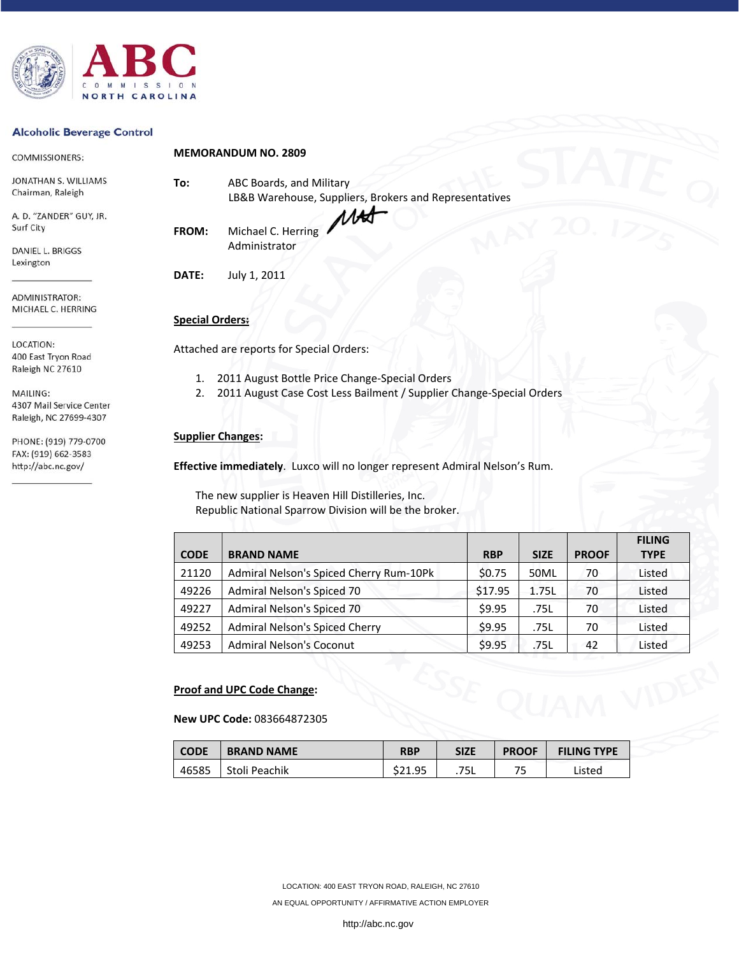

#### **Alcoholic Beverage Control**

http://abc.nc.gov/

| COMMISSIONERS:                   |                        | <b>MEMORANDUM NO. 2809</b>                                           |  |  |  |
|----------------------------------|------------------------|----------------------------------------------------------------------|--|--|--|
| JONATHAN S. WILLIAMS             | To:                    | ABC Boards, and Military                                             |  |  |  |
| Chairman, Raleigh                |                        | LB&B Warehouse, Suppliers, Brokers and Representatives               |  |  |  |
| A. D. "ZANDER" GUY, JR.          |                        |                                                                      |  |  |  |
| Surf City                        | <b>FROM:</b>           | Michael C. Herring                                                   |  |  |  |
| DANIEL L. BRIGGS                 |                        | Administrator                                                        |  |  |  |
| Lexington                        |                        |                                                                      |  |  |  |
|                                  | DATE:                  | July 1, 2011                                                         |  |  |  |
| ADMINISTRATOR:                   |                        |                                                                      |  |  |  |
| MICHAEL C. HERRING               | <b>Special Orders:</b> |                                                                      |  |  |  |
| LOCATION:<br>400 East Tryon Road |                        | Attached are reports for Special Orders:                             |  |  |  |
| Raleigh NC 27610                 | 1.                     | 2011 August Bottle Price Change-Special Orders                       |  |  |  |
| MAILING:                         | 2.                     | 2011 August Case Cost Less Bailment / Supplier Change-Special Orders |  |  |  |
| 4307 Mail Service Center         |                        |                                                                      |  |  |  |
| Raleigh, NC 27699-4307           |                        |                                                                      |  |  |  |
| PHONE: (919) 779-0700            |                        | <b>Supplier Changes:</b>                                             |  |  |  |
| FAX: (919) 662-3583              |                        |                                                                      |  |  |  |

**Effective immediately**. Luxco will no longer represent Admiral Nelson's Rum.

The new supplier is Heaven Hill Distilleries, Inc. Republic National Sparrow Division will be the broker.

|             |                                         |            |             |              | <b>FILING</b> |
|-------------|-----------------------------------------|------------|-------------|--------------|---------------|
| <b>CODE</b> | <b>BRAND NAME</b>                       | <b>RBP</b> | <b>SIZE</b> | <b>PROOF</b> | <b>TYPE</b>   |
| 21120       | Admiral Nelson's Spiced Cherry Rum-10Pk | \$0.75     | 50ML        | 70           | Listed        |
| 49226       | Admiral Nelson's Spiced 70              | \$17.95    | 1.75L       | 70           | Listed        |
| 49227       | Admiral Nelson's Spiced 70              | \$9.95     | .75L        | 70           | Listed        |
| 49252       | <b>Admiral Nelson's Spiced Cherry</b>   | \$9.95     | .75L        | 70           | Listed        |
| 49253       | <b>Admiral Nelson's Coconut</b>         | \$9.95     | .75L        | 42           | Listed        |

## **Proof and UPC Code Change:**

**New UPC Code:** 083664872305

| <b>CODE</b> | <b>BRAND NAME</b> | <b>RBP</b> | <b>SIZE</b> | <b>PROOF</b> | <b>FILING TYPE</b> |
|-------------|-------------------|------------|-------------|--------------|--------------------|
| 46585       | Stoli Peachik     | \$21.95    | 75L         | ᄀ            | Listed             |

LOCATION: 400 EAST TRYON ROAD, RALEIGH, NC 27610

AN EQUAL OPPORTUNITY / AFFIRMATIVE ACTION EMPLOYER